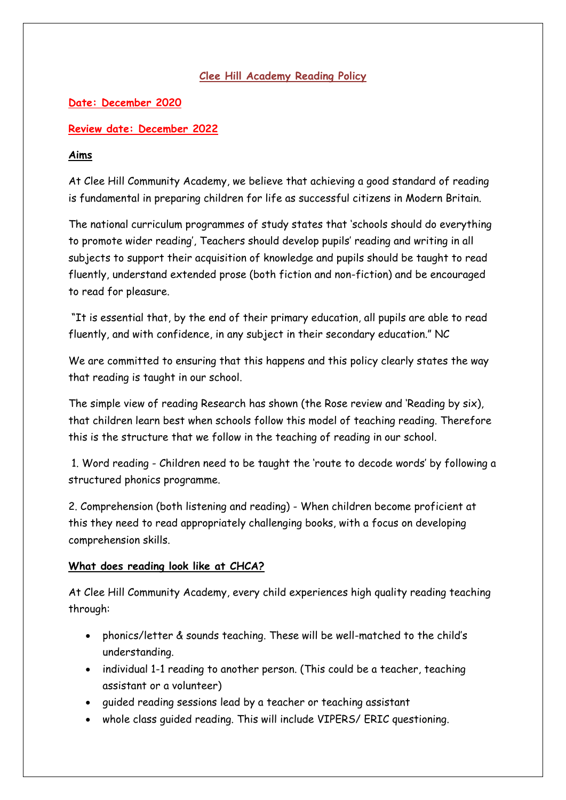## **Clee Hill Academy Reading Policy**

# **Date: December 2020**

## **Review date: December 2022**

## **Aims**

At Clee Hill Community Academy, we believe that achieving a good standard of reading is fundamental in preparing children for life as successful citizens in Modern Britain.

The national curriculum programmes of study states that 'schools should do everything to promote wider reading', Teachers should develop pupils' reading and writing in all subjects to support their acquisition of knowledge and pupils should be taught to read fluently, understand extended prose (both fiction and non-fiction) and be encouraged to read for pleasure.

"It is essential that, by the end of their primary education, all pupils are able to read fluently, and with confidence, in any subject in their secondary education." NC

We are committed to ensuring that this happens and this policy clearly states the way that reading is taught in our school.

The simple view of reading Research has shown (the Rose review and 'Reading by six), that children learn best when schools follow this model of teaching reading. Therefore this is the structure that we follow in the teaching of reading in our school.

1. Word reading - Children need to be taught the 'route to decode words' by following a structured phonics programme.

2. Comprehension (both listening and reading) - When children become proficient at this they need to read appropriately challenging books, with a focus on developing comprehension skills.

#### **What does reading look like at CHCA?**

At Clee Hill Community Academy, every child experiences high quality reading teaching through:

- phonics/letter & sounds teaching. These will be well-matched to the child's understanding.
- individual 1-1 reading to another person. (This could be a teacher, teaching assistant or a volunteer)
- guided reading sessions lead by a teacher or teaching assistant
- whole class guided reading. This will include VIPERS/ ERIC questioning.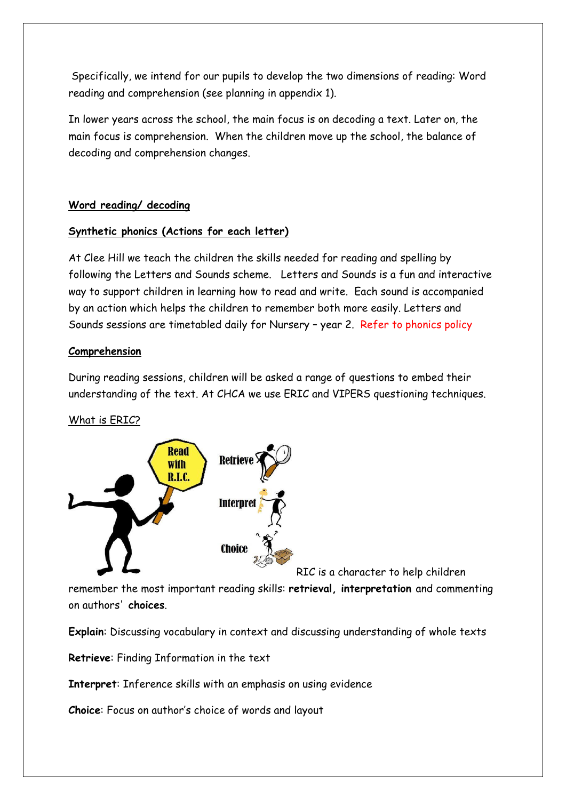Specifically, we intend for our pupils to develop the two dimensions of reading: Word reading and comprehension (see planning in appendix 1).

In lower years across the school, the main focus is on decoding a text. Later on, the main focus is comprehension. When the children move up the school, the balance of decoding and comprehension changes.

## **Word reading/ decoding**

#### **Synthetic phonics (Actions for each letter)**

At Clee Hill we teach the children the skills needed for reading and spelling by following the Letters and Sounds scheme. Letters and Sounds is a fun and interactive way to support children in learning how to read and write. Each sound is accompanied by an action which helps the children to remember both more easily. Letters and Sounds sessions are timetabled daily for Nursery – year 2. Refer to phonics policy

#### **Comprehension**

During reading sessions, children will be asked a range of questions to embed their understanding of the text. At CHCA we use ERIC and VIPERS questioning techniques.

#### What is ERIC?



RIC is a character to help children

remember the most important reading skills: **retrieval, interpretation** and commenting on authors' **choices**.

**Explain**: Discussing vocabulary in context and discussing understanding of whole texts

**Retrieve**: Finding Information in the text

**Interpret**: Inference skills with an emphasis on using evidence

**Choice**: Focus on author's choice of words and layout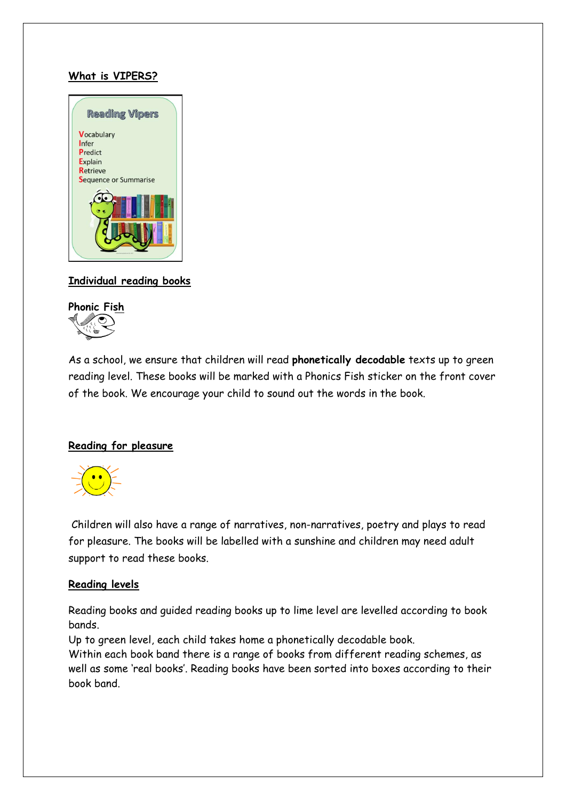## **What is VIPERS?**



## **Individual reading books**



As a school, we ensure that children will read **phonetically decodable** texts up to green reading level. These books will be marked with a Phonics Fish sticker on the front cover of the book. We encourage your child to sound out the words in the book.

#### **Reading for pleasure**



Children will also have a range of narratives, non-narratives, poetry and plays to read for pleasure. The books will be labelled with a sunshine and children may need adult support to read these books.

#### **Reading levels**

Reading books and guided reading books up to lime level are levelled according to book bands.

Up to green level, each child takes home a phonetically decodable book. Within each book band there is a range of books from different reading schemes, as well as some 'real books'. Reading books have been sorted into boxes according to their book band.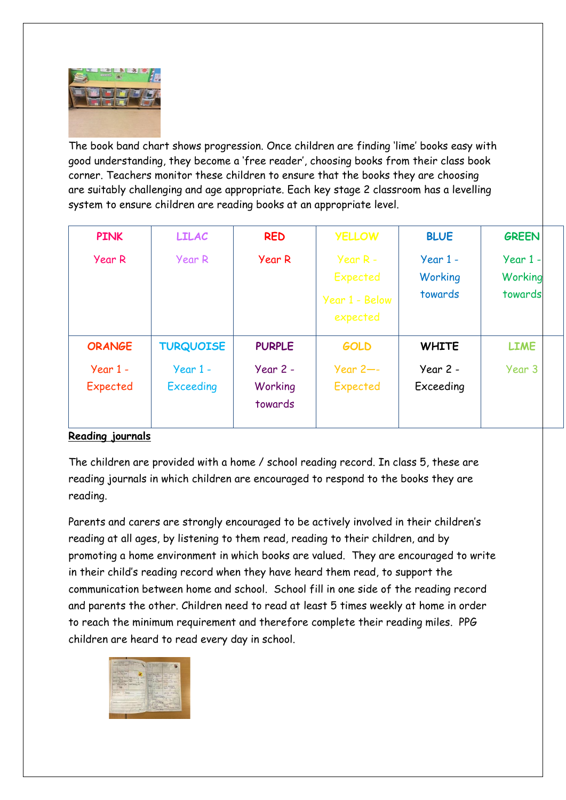

The book band chart shows progression. Once children are finding 'lime' books easy with good understanding, they become a 'free reader', choosing books from their class book corner. Teachers monitor these children to ensure that the books they are choosing are suitably challenging and age appropriate. Each key stage 2 classroom has a levelling system to ensure children are reading books at an appropriate level.

| <b>PINK</b>            | <b>LILAC</b>                   | <b>RED</b>                       | <b>YELLOW</b>                                        | <b>BLUE</b>                      | <b>GREEN</b>                     |
|------------------------|--------------------------------|----------------------------------|------------------------------------------------------|----------------------------------|----------------------------------|
| Year R                 | Year R                         | Year R                           | Year $R -$<br>Expected<br>Year 1 - Below<br>expected | $Year 1 -$<br>Working<br>towards | $Year 1 -$<br>Working<br>towards |
| <b>ORANGE</b>          | <b>TURQUOISE</b>               | <b>PURPLE</b>                    | <b>GOLD</b>                                          | <b>WHITE</b>                     | <b>LIME</b>                      |
| $Year 1 -$<br>Expected | $Year 1 -$<br><b>Exceeding</b> | $Year 2 -$<br>Working<br>towards | Year $2$ --<br>Expected                              | Year 2 -<br>Exceeding            | Year 3                           |

# **Reading journals**

The children are provided with a home / school reading record. In class 5, these are reading journals in which children are encouraged to respond to the books they are reading.

Parents and carers are strongly encouraged to be actively involved in their children's reading at all ages, by listening to them read, reading to their children, and by promoting a home environment in which books are valued. They are encouraged to write in their child's reading record when they have heard them read, to support the communication between home and school. School fill in one side of the reading record and parents the other. Children need to read at least 5 times weekly at home in order to reach the minimum requirement and therefore complete their reading miles. PPG children are heard to read every day in school.

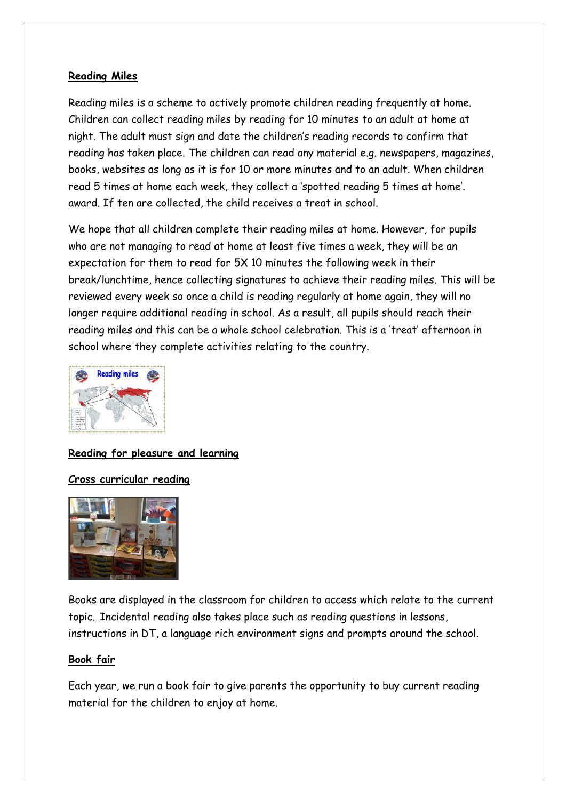#### **Reading Miles**

Reading miles is a scheme to actively promote children reading frequently at home. Children can collect reading miles by reading for 10 minutes to an adult at home at night. The adult must sign and date the children's reading records to confirm that reading has taken place. The children can read any material e.g. newspapers, magazines, books, websites as long as it is for 10 or more minutes and to an adult. When children read 5 times at home each week, they collect a 'spotted reading 5 times at home'. award. If ten are collected, the child receives a treat in school.

We hope that all children complete their reading miles at home. However, for pupils who are not managing to read at home at least five times a week, they will be an expectation for them to read for 5X 10 minutes the following week in their break/lunchtime, hence collecting signatures to achieve their reading miles. This will be reviewed every week so once a child is reading regularly at home again, they will no longer require additional reading in school. As a result, all pupils should reach their reading miles and this can be a whole school celebration. This is a 'treat' afternoon in school where they complete activities relating to the country.



**Reading for pleasure and learning**

#### **Cross curricular reading**



Books are displayed in the classroom for children to access which relate to the current topic. Incidental reading also takes place such as reading questions in lessons, instructions in DT, a language rich environment signs and prompts around the school.

#### **Book fair**

Each year, we run a book fair to give parents the opportunity to buy current reading material for the children to enjoy at home.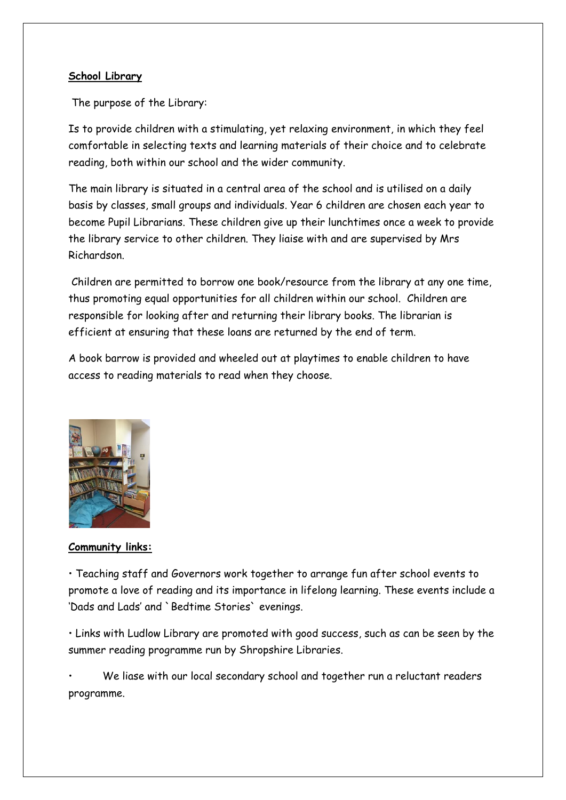#### **School Library**

The purpose of the Library:

Is to provide children with a stimulating, yet relaxing environment, in which they feel comfortable in selecting texts and learning materials of their choice and to celebrate reading, both within our school and the wider community.

The main library is situated in a central area of the school and is utilised on a daily basis by classes, small groups and individuals. Year 6 children are chosen each year to become Pupil Librarians. These children give up their lunchtimes once a week to provide the library service to other children. They liaise with and are supervised by Mrs Richardson.

Children are permitted to borrow one book/resource from the library at any one time, thus promoting equal opportunities for all children within our school. Children are responsible for looking after and returning their library books. The librarian is efficient at ensuring that these loans are returned by the end of term.

A book barrow is provided and wheeled out at playtimes to enable children to have access to reading materials to read when they choose.



#### **Community links:**

• Teaching staff and Governors work together to arrange fun after school events to promote a love of reading and its importance in lifelong learning. These events include a 'Dads and Lads' and `Bedtime Stories` evenings.

• Links with Ludlow Library are promoted with good success, such as can be seen by the summer reading programme run by Shropshire Libraries.

We liase with our local secondary school and together run a reluctant readers programme.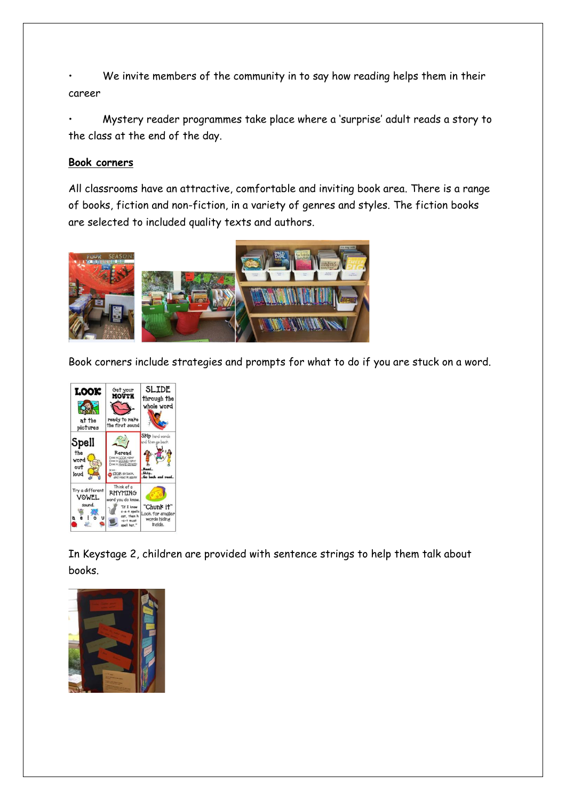We invite members of the community in to say how reading helps them in their career

• Mystery reader programmes take place where a 'surprise' adult reads a story to the class at the end of the day.

#### **Book corners**

All classrooms have an attractive, comfortable and inviting book area. There is a range of books, fiction and non-fiction, in a variety of genres and styles. The fiction books are selected to included quality texts and authors.



Book corners include strategies and prompts for what to do if you are stuck on a word.



In Keystage 2, children are provided with sentence strings to help them talk about books.

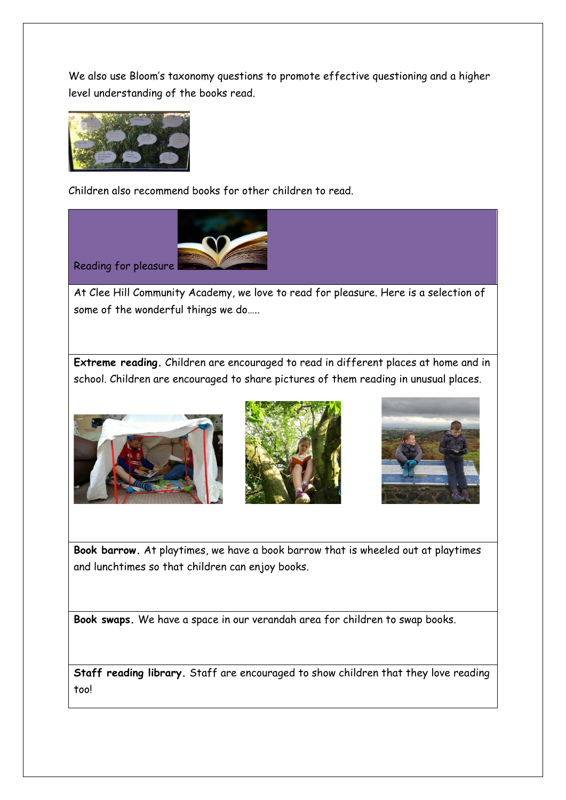We also use Bloom's taxonomy questions to promote effective questioning and a higher level understanding of the books read.



Children also recommend books for other children to read.



At Clee Hill Community Academy, we love to read for pleasure. Here is a selection of some of the wonderful things we do…..

**Extreme reading.** Children are encouraged to read in different places at home and in school. Children are encouraged to share pictures of them reading in unusual places.







**Book barrow.** At playtimes, we have a book barrow that is wheeled out at playtimes and lunchtimes so that children can enjoy books.

**Book swaps.** We have a space in our verandah area for children to swap books.

**Staff reading library.** Staff are encouraged to show children that they love reading too!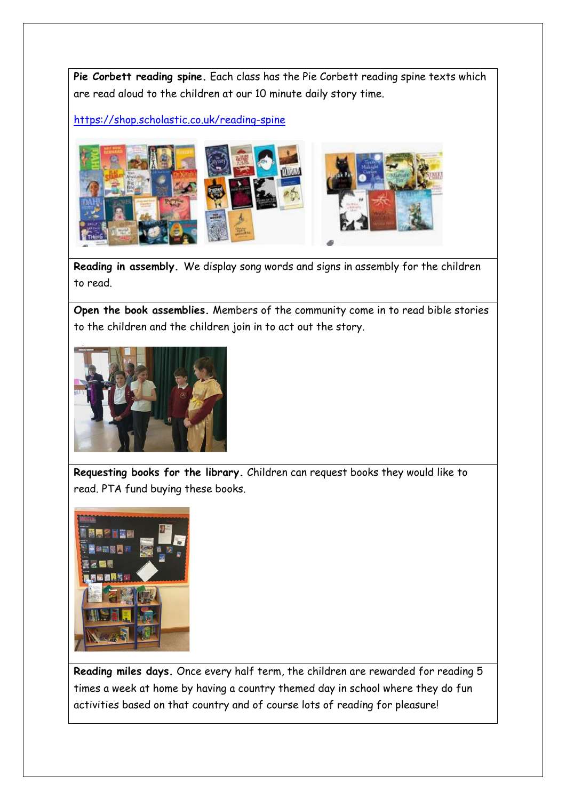**Pie Corbett reading spine.** Each class has the Pie Corbett reading spine texts which are read aloud to the children at our 10 minute daily story time.

<https://shop.scholastic.co.uk/reading-spine>



**Reading in assembly.** We display song words and signs in assembly for the children to read.

**Open the book assemblies.** Members of the community come in to read bible stories to the children and the children join in to act out the story.



**Requesting books for the library.** Children can request books they would like to read. PTA fund buying these books.



**Reading miles days.** Once every half term, the children are rewarded for reading 5 times a week at home by having a country themed day in school where they do fun activities based on that country and of course lots of reading for pleasure!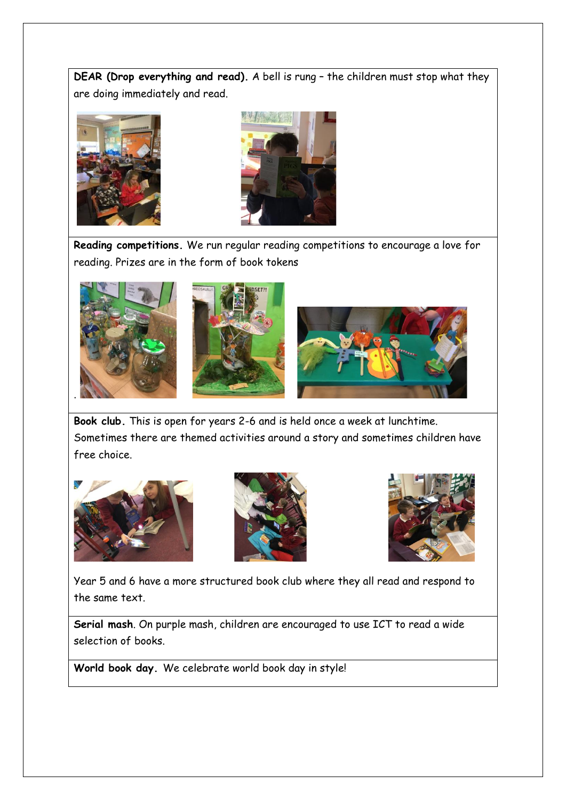**DEAR (Drop everything and read).** A bell is rung – the children must stop what they are doing immediately and read.





**Reading competitions.** We run regular reading competitions to encourage a love for reading. Prizes are in the form of book tokens



**Book club.** This is open for years 2-6 and is held once a week at lunchtime. Sometimes there are themed activities around a story and sometimes children have free choice.







Year 5 and 6 have a more structured book club where they all read and respond to the same text.

**Serial mash**. On purple mash, children are encouraged to use ICT to read a wide selection of books.

**World book day.** We celebrate world book day in style!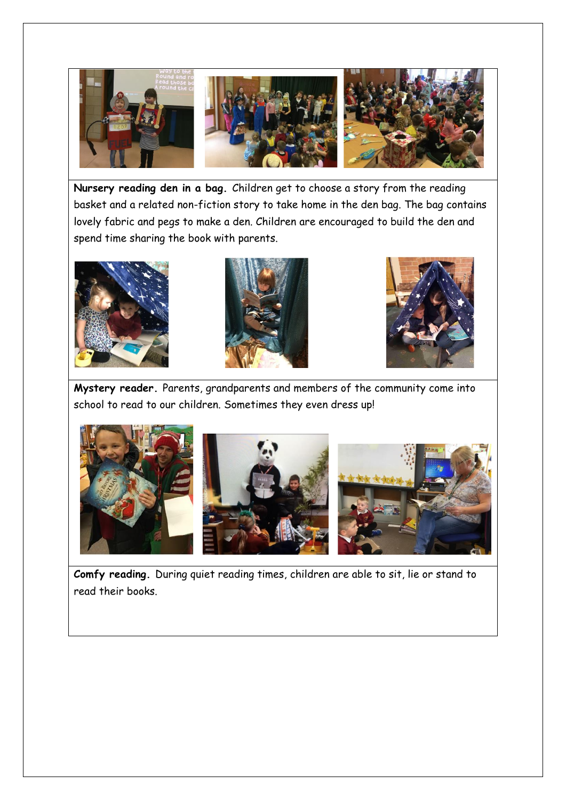

**Nursery reading den in a bag.** Children get to choose a story from the reading basket and a related non-fiction story to take home in the den bag. The bag contains lovely fabric and pegs to make a den. Children are encouraged to build the den and spend time sharing the book with parents.







**Mystery reader.** Parents, grandparents and members of the community come into school to read to our children. Sometimes they even dress up!



**Comfy reading.** During quiet reading times, children are able to sit, lie or stand to read their books.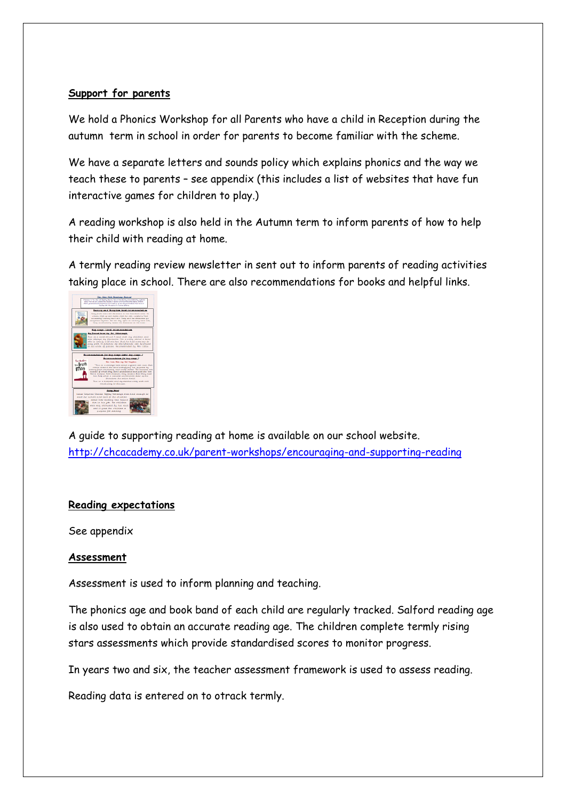#### **Support for parents**

We hold a Phonics Workshop for all Parents who have a child in Reception during the autumn term in school in order for parents to become familiar with the scheme.

We have a separate letters and sounds policy which explains phonics and the way we teach these to parents – see appendix (this includes a list of websites that have fun interactive games for children to play.)

A reading workshop is also held in the Autumn term to inform parents of how to help their child with reading at home.

A termly reading review newsletter in sent out to inform parents of reading activities taking place in school. There are also recommendations for books and helpful links.



A guide to supporting reading at home is available on our school website. <http://chcacademy.co.uk/parent-workshops/encouraging-and-supporting-reading>

#### **Reading expectations**

See appendix

#### **Assessment**

Assessment is used to inform planning and teaching.

The phonics age and book band of each child are regularly tracked. Salford reading age is also used to obtain an accurate reading age. The children complete termly rising stars assessments which provide standardised scores to monitor progress.

In years two and six, the teacher assessment framework is used to assess reading.

Reading data is entered on to otrack termly.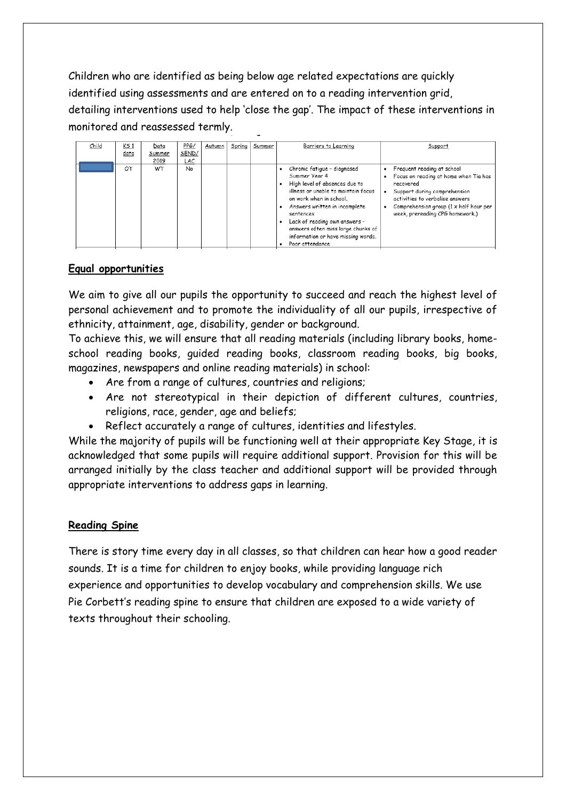Children who are identified as being below age related expectations are quickly identified using assessments and are entered on to a reading intervention grid, detailing interventions used to help 'close the gap'. The impact of these interventions in monitored and reassessed termly.

| Child | <u>KS 1</u><br>data | Data<br>Summer<br>2019 | PPG/<br>SEND/<br>LAC | Autumn | Spring | Summer | Barriers to Learning                                                                                                                                                                                                                                                                                                          | Support                                                                                                                                                                                                                          |
|-------|---------------------|------------------------|----------------------|--------|--------|--------|-------------------------------------------------------------------------------------------------------------------------------------------------------------------------------------------------------------------------------------------------------------------------------------------------------------------------------|----------------------------------------------------------------------------------------------------------------------------------------------------------------------------------------------------------------------------------|
|       | OT                  | <b>WT</b>              | No                   |        |        |        | Chronic fatigue - diagnosed<br>Summer Year 4<br>High level of absences due to<br>illness or unable to maintain focus<br>on work when in school.<br>Answers written in incomplete<br>sentences<br>Lack of reading own answers -<br>answers often miss large chunks of<br>information or have missing words.<br>Poor attendance | Frequent reading at school<br>Focus on reading at home when Tia has<br>recovered<br>Support during comprehension<br>activities to verbalise answers<br>Comprehension group (1 x half hour per<br>week, prereading CPG homework.) |

#### **Equal opportunities**

We aim to give all our pupils the opportunity to succeed and reach the highest level of personal achievement and to promote the individuality of all our pupils, irrespective of ethnicity, attainment, age, disability, gender or background.

To achieve this, we will ensure that all reading materials (including library books, homeschool reading books, guided reading books, classroom reading books, big books, magazines, newspapers and online reading materials) in school:

- Are from a range of cultures, countries and religions;
- Are not stereotypical in their depiction of different cultures, countries, religions, race, gender, age and beliefs;
- Reflect accurately a range of cultures, identities and lifestyles.

While the majority of pupils will be functioning well at their appropriate Key Stage, it is acknowledged that some pupils will require additional support. Provision for this will be arranged initially by the class teacher and additional support will be provided through appropriate interventions to address gaps in learning.

#### **Reading Spine**

There is story time every day in all classes, so that children can hear how a good reader sounds. It is a time for children to enjoy books, while providing language rich experience and opportunities to develop vocabulary and comprehension skills. We use Pie Corbett's reading spine to ensure that children are exposed to a wide variety of texts throughout their schooling.